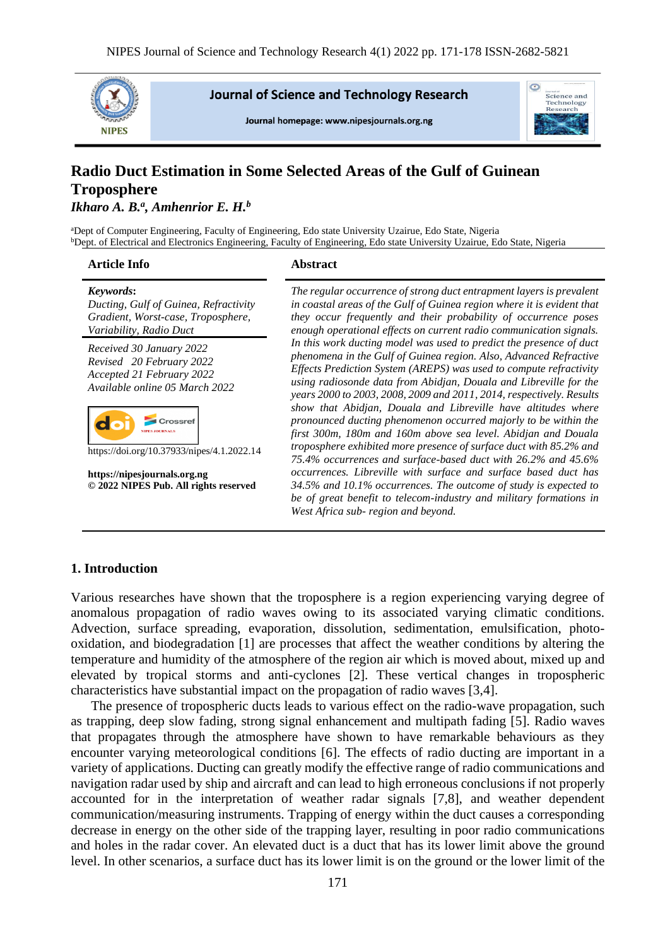

**Journal of Science and Technology Research** 

Journal homepage: www.nipesiournals.org.ng



# **Radio Duct Estimation in Some Selected Areas of the Gulf of Guinean Troposphere**

# *Ikharo A. B.<sup>a</sup> , Amhenrior E. H.<sup>b</sup>*

<sup>a</sup>Dept of Computer Engineering, Faculty of Engineering, Edo state University Uzairue, Edo State, Nigeria <sup>b</sup>Dept. of Electrical and Electronics Engineering, Faculty of Engineering, Edo state University Uzairue, Edo State, Nigeria

#### **Article Info Abstract**

# *Keywords***:**

*Ducting, Gulf of Guinea, Refractivity Gradient, Worst-case, Troposphere, Variability, Radio Duct*

*Received 30 January 2022 Revised 20 February 2022 Accepted 21 February 2022 Available online 05 March 2022*



https://doi.org/10.37933/nipes/4.1.2022.14

**https://nipesjournals.org.ng © 2022 NIPES Pub. All rights reserved**

*The regular occurrence of strong duct entrapment layers is prevalent in coastal areas of the Gulf of Guinea region where it is evident that they occur frequently and their probability of occurrence poses enough operational effects on current radio communication signals. In this work ducting model was used to predict the presence of duct phenomena in the Gulf of Guinea region. Also, Advanced Refractive Effects Prediction System (AREPS) was used to compute refractivity using radiosonde data from Abidjan, Douala and Libreville for the years 2000 to 2003, 2008, 2009 and 2011, 2014, respectively. Results show that Abidjan, Douala and Libreville have altitudes where pronounced ducting phenomenon occurred majorly to be within the first 300m, 180m and 160m above sea level. Abidjan and Douala troposphere exhibited more presence of surface duct with 85.2% and 75.4% occurrences and surface-based duct with 26.2% and 45.6% occurrences. Libreville with surface and surface based duct has 34.5% and 10.1% occurrences. The outcome of study is expected to be of great benefit to telecom-industry and military formations in West Africa sub- region and beyond.*

#### **1. Introduction**

Various researches have shown that the troposphere is a region experiencing varying degree of anomalous propagation of radio waves owing to its associated varying climatic conditions. Advection, surface spreading, evaporation, dissolution, sedimentation, emulsification, photooxidation, and biodegradation [1] are processes that affect the weather conditions by altering the temperature and humidity of the atmosphere of the region air which is moved about, mixed up and elevated by tropical storms and anti-cyclones [2]. These vertical changes in tropospheric characteristics have substantial impact on the propagation of radio waves [3,4].

The presence of tropospheric ducts leads to various effect on the radio-wave propagation, such as trapping, deep slow fading, strong signal enhancement and multipath fading [5]. Radio waves that propagates through the atmosphere have shown to have remarkable behaviours as they encounter varying meteorological conditions [6]. The effects of radio ducting are important in a variety of applications. Ducting can greatly modify the effective range of radio communications and navigation radar used by ship and aircraft and can lead to high erroneous conclusions if not properly accounted for in the interpretation of weather radar signals [7,8], and weather dependent communication/measuring instruments. Trapping of energy within the duct causes a corresponding decrease in energy on the other side of the trapping layer, resulting in poor radio communications and holes in the radar cover. An elevated duct is a duct that has its lower limit above the ground level. In other scenarios, a surface duct has its lower limit is on the ground or the lower limit of the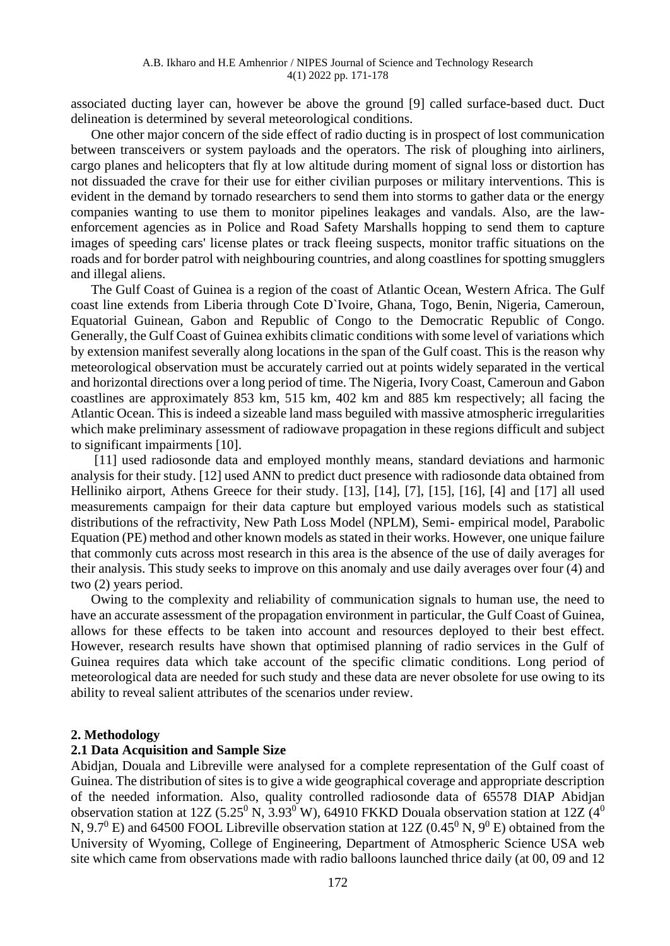associated ducting layer can, however be above the ground [9] called surface-based duct. Duct delineation is determined by several meteorological conditions.

One other major concern of the side effect of radio ducting is in prospect of lost communication between transceivers or system payloads and the operators. The risk of ploughing into airliners, cargo planes and helicopters that fly at low altitude during moment of signal loss or distortion has not dissuaded the crave for their use for either civilian purposes or military interventions. This is evident in the demand by tornado researchers to send them into storms to gather data or the energy companies wanting to use them to monitor pipelines leakages and vandals. Also, are the lawenforcement agencies as in Police and Road Safety Marshalls hopping to send them to capture images of speeding cars' license plates or track fleeing suspects, monitor traffic situations on the roads and for border patrol with neighbouring countries, and along coastlines for spotting smugglers and illegal aliens.

The Gulf Coast of Guinea is a region of the coast of Atlantic Ocean, Western Africa. The Gulf coast line extends from Liberia through Cote D`Ivoire, Ghana, Togo, Benin, Nigeria, Cameroun, Equatorial Guinean, Gabon and Republic of Congo to the Democratic Republic of Congo. Generally, the Gulf Coast of Guinea exhibits climatic conditions with some level of variations which by extension manifest severally along locations in the span of the Gulf coast. This is the reason why meteorological observation must be accurately carried out at points widely separated in the vertical and horizontal directions over a long period of time. The Nigeria, Ivory Coast, Cameroun and Gabon coastlines are approximately 853 km, 515 km, 402 km and 885 km respectively; all facing the Atlantic Ocean. This is indeed a sizeable land mass beguiled with massive atmospheric irregularities which make preliminary assessment of radiowave propagation in these regions difficult and subject to significant impairments [10].

[11] used radiosonde data and employed monthly means, standard deviations and harmonic analysis for their study. [12] used ANN to predict duct presence with radiosonde data obtained from Helliniko airport, Athens Greece for their study. [13], [14], [7], [15], [16], [4] and [17] all used measurements campaign for their data capture but employed various models such as statistical distributions of the refractivity, New Path Loss Model (NPLM), Semi- empirical model, Parabolic Equation (PE) method and other known models as stated in their works. However, one unique failure that commonly cuts across most research in this area is the absence of the use of daily averages for their analysis. This study seeks to improve on this anomaly and use daily averages over four (4) and two (2) years period.

Owing to the complexity and reliability of communication signals to human use, the need to have an accurate assessment of the propagation environment in particular, the Gulf Coast of Guinea, allows for these effects to be taken into account and resources deployed to their best effect. However, research results have shown that optimised planning of radio services in the Gulf of Guinea requires data which take account of the specific climatic conditions. Long period of meteorological data are needed for such study and these data are never obsolete for use owing to its ability to reveal salient attributes of the scenarios under review.

#### **2. Methodology**

#### **2.1 Data Acquisition and Sample Size**

Abidjan, Douala and Libreville were analysed for a complete representation of the Gulf coast of Guinea. The distribution of sites is to give a wide geographical coverage and appropriate description of the needed information. Also, quality controlled radiosonde data of 65578 DIAP Abidjan observation station at 12Z (5.25<sup>0</sup> N, 3.93<sup>0</sup> W), 64910 FKKD Douala observation station at 12Z (4<sup>0</sup>) N, 9.7<sup>0</sup> E) and 64500 FOOL Libreville observation station at 12Z (0.45<sup>0</sup> N, 9<sup>0</sup> E) obtained from the University of Wyoming, College of Engineering, Department of Atmospheric Science USA web site which came from observations made with radio balloons launched thrice daily (at 00, 09 and 12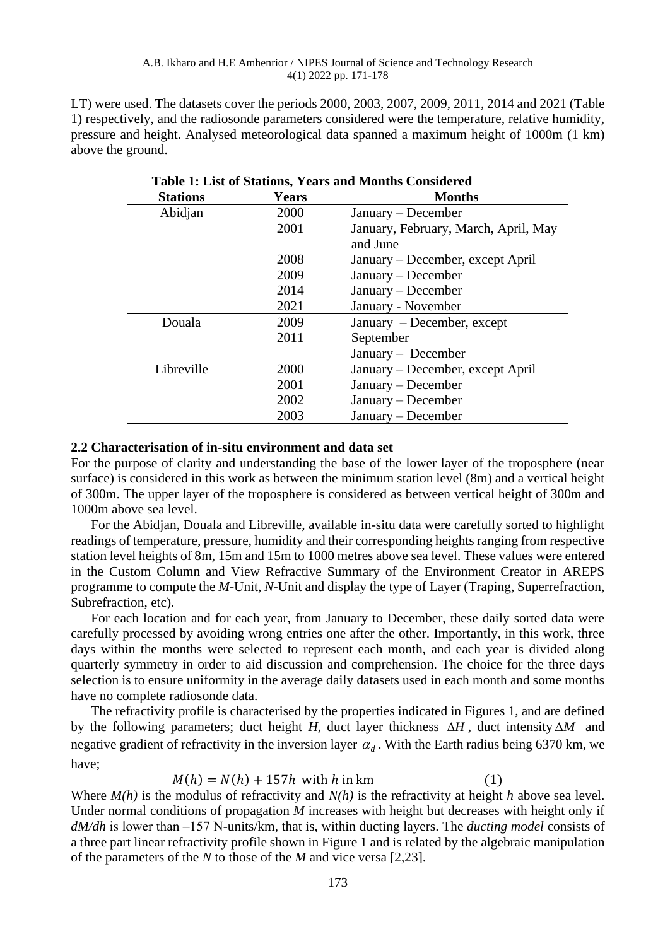LT) were used. The datasets cover the periods 2000, 2003, 2007, 2009, 2011, 2014 and 2021 (Table 1) respectively, and the radiosonde parameters considered were the temperature, relative humidity, pressure and height. Analysed meteorological data spanned a maximum height of 1000m (1 km) above the ground.

| <b>Stations</b> | <b>Years</b> | <b>Months</b>                                    |  |
|-----------------|--------------|--------------------------------------------------|--|
| Abidjan         | 2000         | January – December                               |  |
|                 | 2001         | January, February, March, April, May<br>and June |  |
|                 | 2008         | January – December, except April                 |  |
|                 | 2009         | $January - December$                             |  |
|                 | 2014         | January – December                               |  |
|                 | 2021         | January - November                               |  |
| Douala          | 2009         | January – December, except                       |  |
|                 | 2011         | September                                        |  |
|                 |              | January – December                               |  |
| Libreville      | 2000         | January – December, except April                 |  |
|                 | 2001         | $January - December$                             |  |
|                 | 2002         | January – December                               |  |
|                 | 2003         | $January - December$                             |  |

### **2.2 Characterisation of in-situ environment and data set**

For the purpose of clarity and understanding the base of the lower layer of the troposphere (near surface) is considered in this work as between the minimum station level (8m) and a vertical height of 300m. The upper layer of the troposphere is considered as between vertical height of 300m and 1000m above sea level.

For the Abidjan, Douala and Libreville, available in-situ data were carefully sorted to highlight readings of temperature, pressure, humidity and their corresponding heights ranging from respective station level heights of 8m, 15m and 15m to 1000 metres above sea level. These values were entered in the Custom Column and View Refractive Summary of the Environment Creator in AREPS programme to compute the *M*-Unit, *N*-Unit and display the type of Layer (Traping, Superrefraction, Subrefraction, etc).

For each location and for each year, from January to December, these daily sorted data were carefully processed by avoiding wrong entries one after the other. Importantly, in this work, three days within the months were selected to represent each month, and each year is divided along quarterly symmetry in order to aid discussion and comprehension. The choice for the three days selection is to ensure uniformity in the average daily datasets used in each month and some months have no complete radiosonde data.

The refractivity profile is characterised by the properties indicated in Figures 1, and are defined by the following parameters; duct height *H*, duct layer thickness  $\Delta H$ , duct intensity  $\Delta M$  and negative gradient of refractivity in the inversion layer  $\alpha_d$ . With the Earth radius being 6370 km, we have;

$$
M(h) = N(h) + 157h \text{ with } h \text{ in km} \tag{1}
$$

Where *M(h)* is the modulus of refractivity and *N(h)* is the refractivity at height *h* above sea level. Under normal conditions of propagation *M* increases with height but decreases with height only if *dM/dh* is lower than -157 N-units/km, that is, within ducting layers. The *ducting model* consists of a three part linear refractivity profile shown in Figure 1 and is related by the algebraic manipulation of the parameters of the *N* to those of the *M* and vice versa [2,23].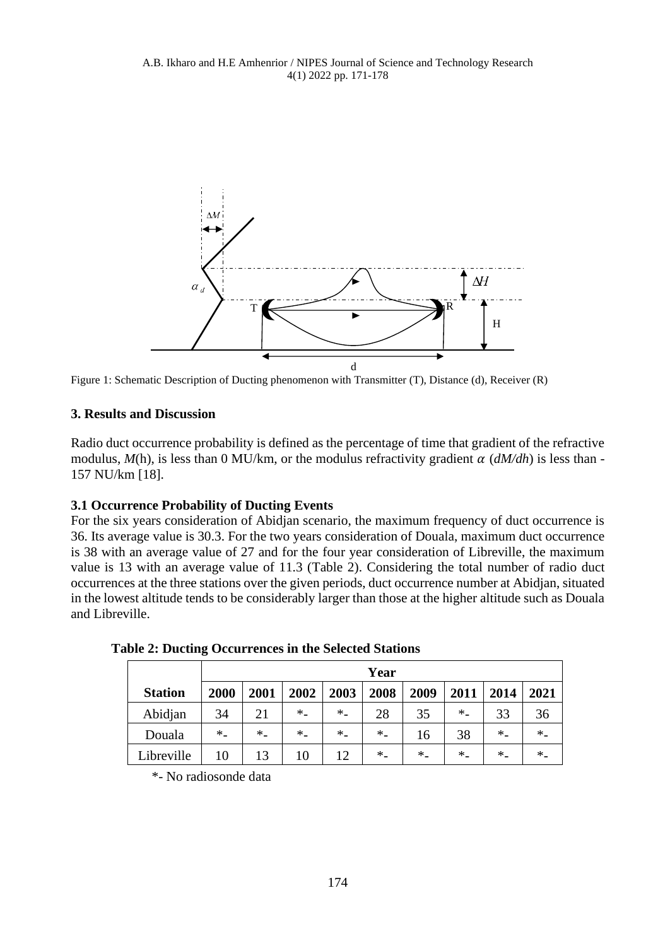

Figure 1: Schematic Description of Ducting phenomenon with Transmitter (T), Distance (d), Receiver (R)

# **3. Results and Discussion**

Radio duct occurrence probability is defined as the percentage of time that gradient of the refractive modulus,  $M(h)$ , is less than 0 MU/km, or the modulus refractivity gradient  $\alpha$  ( $dM/dh$ ) is less than -157 NU/km [18].

# **3.1 Occurrence Probability of Ducting Events**

For the six years consideration of Abidjan scenario, the maximum frequency of duct occurrence is 36. Its average value is 30.3. For the two years consideration of Douala, maximum duct occurrence is 38 with an average value of 27 and for the four year consideration of Libreville, the maximum value is 13 with an average value of 11.3 (Table 2). Considering the total number of radio duct occurrences at the three stations over the given periods, duct occurrence number at Abidjan, situated in the lowest altitude tends to be considerably larger than those at the higher altitude such as Douala and Libreville.

|                | Year |      |         |      |         |         |        |         |         |
|----------------|------|------|---------|------|---------|---------|--------|---------|---------|
| <b>Station</b> | 2000 | 2001 | 2002    | 2003 | 2008    | 2009    | 2011   | 2014    | 2021    |
| Abidjan        | 34   | 21   | $*_{-}$ | $*$  | 28      | 35      | $*$    | 33      | 36      |
| Douala         | $*$  | $*$  | $*$     | $*$  | $*$     | 16      | 38     | $*_{-}$ | $*_{-}$ |
| Libreville     | 10   | 13   | 10      | 12   | $*_{-}$ | $*_{-}$ | $\ast$ | $*$     | $\ast$  |

**Table 2: Ducting Occurrences in the Selected Stations**

\*- No radiosonde data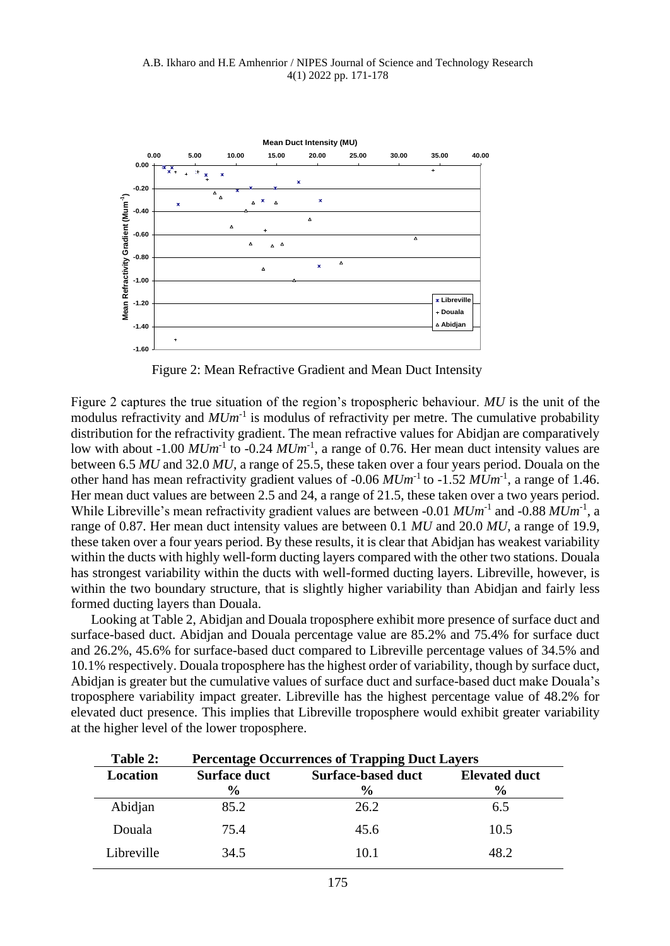

Figure 2: Mean Refractive Gradient and Mean Duct Intensity

Figure 2 captures the true situation of the region's tropospheric behaviour. *MU* is the unit of the modulus refractivity and  $MUm^{-1}$  is modulus of refractivity per metre. The cumulative probability distribution for the refractivity gradient. The mean refractive values for Abidjan are comparatively low with about  $-1.00$   $MUm^{-1}$  to  $-0.24$   $MUm^{-1}$ , a range of 0.76. Her mean duct intensity values are between 6.5 *MU* and 32.0 *MU*, a range of 25.5, these taken over a four years period. Douala on the other hand has mean refractivity gradient values of -0.06  $MUm^{-1}$  to -1.52  $MUm^{-1}$ , a range of 1.46. Her mean duct values are between 2.5 and 24, a range of 21.5, these taken over a two years period. While Libreville's mean refractivity gradient values are between -0.01  $MUm^{-1}$  and -0.88  $MUm^{-1}$ , a range of 0.87. Her mean duct intensity values are between 0.1 *MU* and 20.0 *MU*, a range of 19.9, these taken over a four years period. By these results, it is clear that Abidjan has weakest variability within the ducts with highly well-form ducting layers compared with the other two stations. Douala has strongest variability within the ducts with well-formed ducting layers. Libreville, however, is within the two boundary structure, that is slightly higher variability than Abidjan and fairly less formed ducting layers than Douala.

Looking at Table 2, Abidjan and Douala troposphere exhibit more presence of surface duct and surface-based duct. Abidjan and Douala percentage value are 85.2% and 75.4% for surface duct and 26.2%, 45.6% for surface-based duct compared to Libreville percentage values of 34.5% and 10.1% respectively. Douala troposphere has the highest order of variability, though by surface duct, Abidjan is greater but the cumulative values of surface duct and surface-based duct make Douala's troposphere variability impact greater. Libreville has the highest percentage value of 48.2% for elevated duct presence. This implies that Libreville troposphere would exhibit greater variability at the higher level of the lower troposphere.

| Table 2:        | <b>Percentage Occurrences of Trapping Duct Layers</b> |                           |                      |  |  |  |
|-----------------|-------------------------------------------------------|---------------------------|----------------------|--|--|--|
| <b>Location</b> | <b>Surface duct</b>                                   | <b>Surface-based duct</b> | <b>Elevated duct</b> |  |  |  |
|                 | $\frac{6}{9}$                                         | $\frac{6}{9}$             | $\frac{6}{9}$        |  |  |  |
| Abidjan         | 85.2                                                  | 26.2                      | 6.5                  |  |  |  |
| Douala          | 75.4                                                  | 45.6                      | 10.5                 |  |  |  |
| Libreville      | 34.5                                                  | 10.1                      | 48 2                 |  |  |  |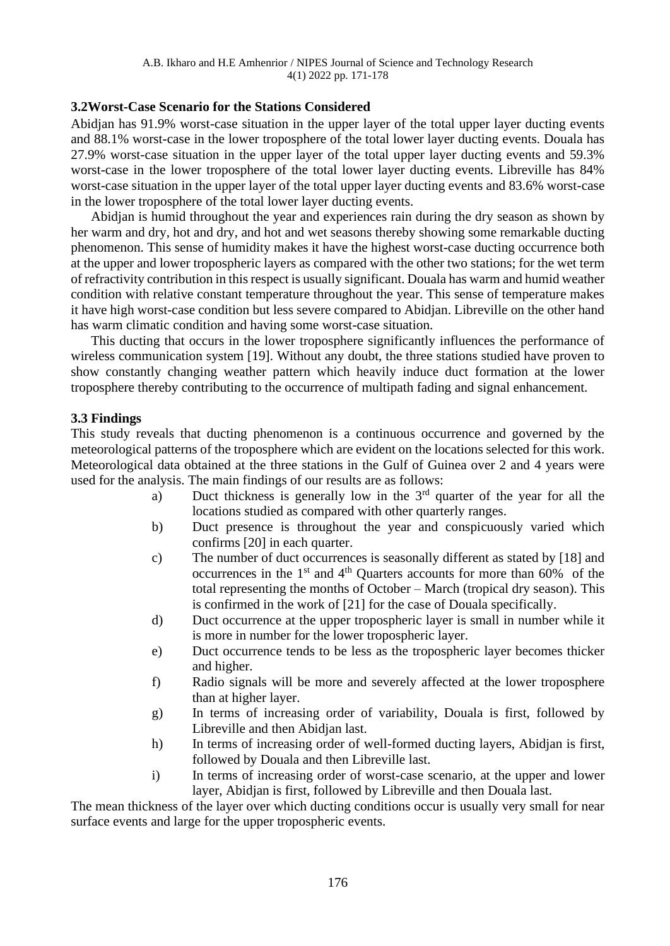## **3.2Worst-Case Scenario for the Stations Considered**

Abidjan has 91.9% worst-case situation in the upper layer of the total upper layer ducting events and 88.1% worst-case in the lower troposphere of the total lower layer ducting events. Douala has 27.9% worst-case situation in the upper layer of the total upper layer ducting events and 59.3% worst-case in the lower troposphere of the total lower layer ducting events. Libreville has 84% worst-case situation in the upper layer of the total upper layer ducting events and 83.6% worst-case in the lower troposphere of the total lower layer ducting events.

Abidjan is humid throughout the year and experiences rain during the dry season as shown by her warm and dry, hot and dry, and hot and wet seasons thereby showing some remarkable ducting phenomenon. This sense of humidity makes it have the highest worst-case ducting occurrence both at the upper and lower tropospheric layers as compared with the other two stations; for the wet term of refractivity contribution in this respect is usually significant. Douala has warm and humid weather condition with relative constant temperature throughout the year. This sense of temperature makes it have high worst-case condition but less severe compared to Abidjan. Libreville on the other hand has warm climatic condition and having some worst-case situation.

This ducting that occurs in the lower troposphere significantly influences the performance of wireless communication system [19]. Without any doubt, the three stations studied have proven to show constantly changing weather pattern which heavily induce duct formation at the lower troposphere thereby contributing to the occurrence of multipath fading and signal enhancement.

# **3.3 Findings**

This study reveals that ducting phenomenon is a continuous occurrence and governed by the meteorological patterns of the troposphere which are evident on the locations selected for this work. Meteorological data obtained at the three stations in the Gulf of Guinea over 2 and 4 years were used for the analysis. The main findings of our results are as follows:

- a) Duct thickness is generally low in the 3<sup>rd</sup> quarter of the year for all the locations studied as compared with other quarterly ranges.
- b) Duct presence is throughout the year and conspicuously varied which confirms [20] in each quarter.
- c) The number of duct occurrences is seasonally different as stated by [18] and occurrences in the  $1<sup>st</sup>$  and  $4<sup>th</sup>$  Quarters accounts for more than 60% of the total representing the months of October – March (tropical dry season). This is confirmed in the work of [21] for the case of Douala specifically.
- d) Duct occurrence at the upper tropospheric layer is small in number while it is more in number for the lower tropospheric layer.
- e) Duct occurrence tends to be less as the tropospheric layer becomes thicker and higher.
- f) Radio signals will be more and severely affected at the lower troposphere than at higher layer.
- g) In terms of increasing order of variability, Douala is first, followed by Libreville and then Abidjan last.
- h) In terms of increasing order of well-formed ducting layers, Abidjan is first, followed by Douala and then Libreville last.
- i) In terms of increasing order of worst-case scenario, at the upper and lower layer, Abidjan is first, followed by Libreville and then Douala last.

The mean thickness of the layer over which ducting conditions occur is usually very small for near surface events and large for the upper tropospheric events.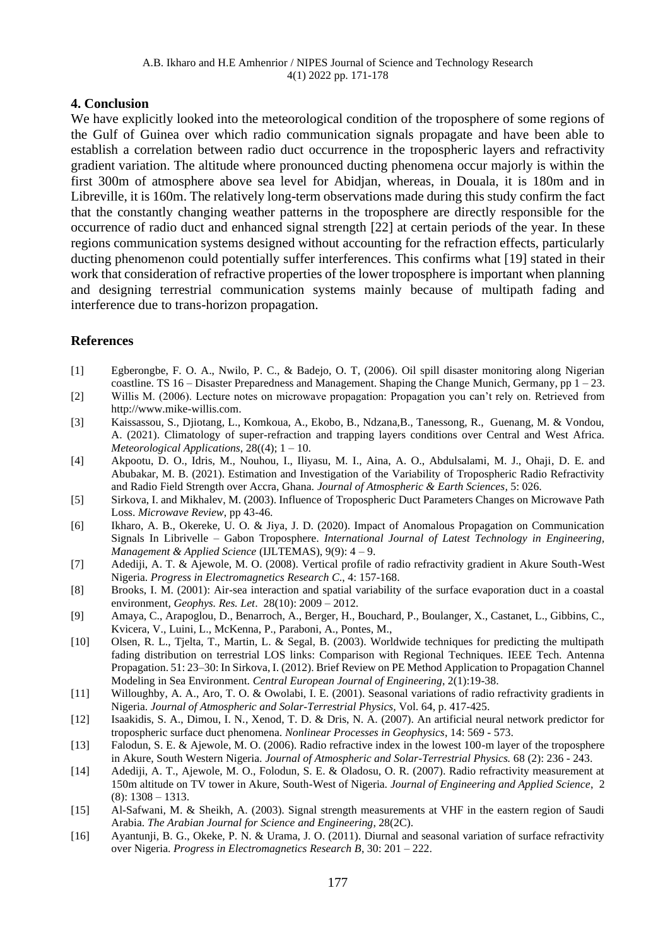# **4. Conclusion**

We have explicitly looked into the meteorological condition of the troposphere of some regions of the Gulf of Guinea over which radio communication signals propagate and have been able to establish a correlation between radio duct occurrence in the tropospheric layers and refractivity gradient variation. The altitude where pronounced ducting phenomena occur majorly is within the first 300m of atmosphere above sea level for Abidjan, whereas, in Douala, it is 180m and in Libreville, it is 160m. The relatively long-term observations made during this study confirm the fact that the constantly changing weather patterns in the troposphere are directly responsible for the occurrence of radio duct and enhanced signal strength [22] at certain periods of the year. In these regions communication systems designed without accounting for the refraction effects, particularly ducting phenomenon could potentially suffer interferences. This confirms what [19] stated in their work that consideration of refractive properties of the lower troposphere is important when planning and designing terrestrial communication systems mainly because of multipath fading and interference due to trans-horizon propagation.

# **References**

- [1] Egberongbe, F. O. A., Nwilo, P. C., & Badejo, O. T, (2006). Oil spill disaster monitoring along Nigerian coastline. TS 16 – Disaster Preparedness and Management. Shaping the Change Munich, Germany, pp  $1 - 23$ . [2] Willis M. (2006). Lecture notes on microwave propagation: Propagation you can't rely on. Retrieved from
- http://www.mike-willis.com.
- [3] Kaissassou, S., Djiotang, L., Komkoua, A., Ekobo, B., Ndzana,B., Tanessong, R., Guenang, M. & Vondou, A. (2021). Climatology of super-refraction and trapping layers conditions over Central and West Africa. *Meteorological Applications*, 28((4); 1 – 10.
- [4] Akpootu, D. O., Idris, M., Nouhou, I., Iliyasu, M. I., Aina, A. O., Abdulsalami, M. J., Ohaji, D. E. and Abubakar, M. B. (2021). Estimation and Investigation of the Variability of Tropospheric Radio Refractivity and Radio Field Strength over Accra, Ghana. *Journal of Atmospheric & Earth Sciences,* 5: 026.
- [5] Sirkova, I. and Mikhalev, M. (2003). Influence of Tropospheric Duct Parameters Changes on Microwave Path Loss. *Microwave Review*, pp 43-46.
- [6] Ikharo, A. B., Okereke, U. O. & Jiya, J. D. (2020). Impact of Anomalous Propagation on Communication Signals In Librivelle – Gabon Troposphere. *International Journal of Latest Technology in Engineering, Management & Applied Science* (IJLTEMAS), 9(9): 4 – 9.
- [7] Adediji, A. T. & Ajewole, M. O. (2008). Vertical profile of radio refractivity gradient in Akure South-West Nigeria. *Progress in Electromagnetics Research C*., 4: 157-168.
- [8] Brooks, I. M. (2001): Air-sea interaction and spatial variability of the surface evaporation duct in a coastal environment*, Geophys. Res. Let*. 28(10): 2009 – 2012.
- [9] Amaya, C., Arapoglou, D., Benarroch, A., Berger, H., Bouchard, P., Boulanger, X., Castanet, L., Gibbins, C., Kvicera, V., Luini, L., McKenna, P., Paraboni, A., Pontes, M.,
- [10] Olsen, R. L., Tjelta, T., Martin, L. & Segal, B. (2003). Worldwide techniques for predicting the multipath fading distribution on terrestrial LOS links: Comparison with Regional Techniques. IEEE Tech. Antenna Propagation. 51: 23–30: In Sirkova, I. (2012). Brief Review on PE Method Application to Propagation Channel Modeling in Sea Environment. *Central European Journal of Engineering*, 2(1):19-38.
- [11] Willoughby, A. A., Aro, T. O. & Owolabi, I. E. (2001). Seasonal variations of radio refractivity gradients in Nigeria. *Journal of Atmospheric and Solar-Terrestrial Physics*, Vol. 64, p. 417-425.
- [12] Isaakidis, S. A., Dimou, I. N., Xenod, T. D. & Dris, N. A. (2007). An artificial neural network predictor for tropospheric surface duct phenomena. *Nonlinear Processes in Geophysics*, 14: 569 - 573.
- [13] Falodun, S. E. & Ajewole, M. O. (2006). Radio refractive index in the lowest 100-m layer of the troposphere in Akure, South Western Nigeria. *Journal of Atmospheric and Solar-Terrestrial Physics.* 68 (2): 236 - 243.
- [14] Adediji, A. T., Ajewole, M. O., Folodun, S. E. & Oladosu, O. R. (2007). Radio refractivity measurement at 150m altitude on TV tower in Akure, South-West of Nigeria. *Journal of Engineering and Applied Science*, 2  $(8): 1308 - 1313.$
- [15] Al-Safwani, M. & Sheikh, A. (2003). Signal strength measurements at VHF in the eastern region of Saudi Arabia. *The Arabian Journal for Science and Engineering*, 28(2C).
- [16] Ayantunji, B. G., Okeke, P. N. & Urama, J. O. (2011). Diurnal and seasonal variation of surface refractivity over Nigeria. *Progress in Electromagnetics Research B*, 30: 201 – 222.